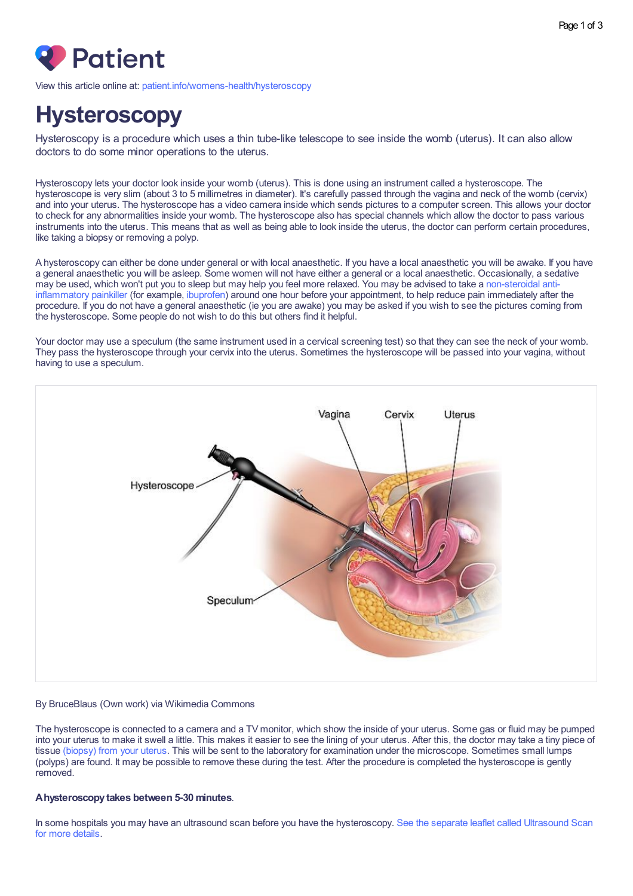

View this article online at: [patient.info/womens-health/hysteroscopy](https://patient.info/womens-health/hysteroscopy)

# **Hysteroscopy**

Hysteroscopy is a procedure which uses a thin tube-like telescope to see inside the womb (uterus). It can also allow doctors to do some minor operations to the uterus.

Hysteroscopy lets your doctor look inside your womb (uterus). This is done using an instrument called a hysteroscope. The hysteroscope is very slim (about 3 to 5 millimetres in diameter). It's carefully passed through the vagina and neck of the womb (cervix) and into your uterus. The hysteroscope has a video camera inside which sends pictures to a computer screen. This allows your doctor to check for any abnormalities inside your womb. The hysteroscope also has special channels which allow the doctor to pass various instruments into the uterus. This means that as well as being able to look inside the uterus, the doctor can perform certain procedures, like taking a biopsy or removing a polyp.

A hysteroscopy can either be done under general or with local anaesthetic. If you have a local anaesthetic you will be awake. If you have a general anaesthetic you will be asleep. Some women will not have either a general or a local anaesthetic. Occasionally, a sedative may be used, which won't put you to sleep but may help you feel more relaxed. You may be advised to take a [non-steroidal](https://patient.info/treatment-medication/painkillers/anti-inflammatory-painkillers) antiinflammatory painkiller (for example, [ibuprofen\)](https://patient.info/medicine/ibuprofen-for-pain-and-inflammation-advil-brufen-calprofen-nurofen) around one hour before your appointment, to help reduce pain immediately after the procedure. If you do not have a general anaesthetic (ie you are awake) you may be asked if you wish to see the pictures coming from the hysteroscope. Some people do not wish to do this but others find it helpful.

Your doctor may use a speculum (the same instrument used in a cervical screening test) so that they can see the neck of your womb. They pass the hysteroscope through your cervix into the uterus. Sometimes the hysteroscope will be passed into your vagina, without having to use a speculum.



#### By BruceBlaus (Own work) via Wikimedia Commons

The hysteroscope is connected to a camera and a TV monitor, which show the inside of your uterus. Some gas or fluid may be pumped into your uterus to make it swell a little. This makes it easier to see the lining of your uterus. After this, the doctor may take a tiny piece of tissue [\(biopsy\)](https://patient.info/womens-health/periods-and-period-problems/endometrial-biopsy) from your uterus. This will be sent to the laboratory for examination under the microscope. Sometimes small lumps (polyps) are found. It may be possible to remove these during the test. After the procedure is completed the hysteroscope is gently removed.

#### **Ahysteroscopytakes between 5-30 minutes**.

In some hospitals you may have an ultrasound scan before you have the [hysteroscopy.](https://patient.info/treatment-medication/ultrasound-scan) See the separate leaflet called Ultrasound Scan for more details.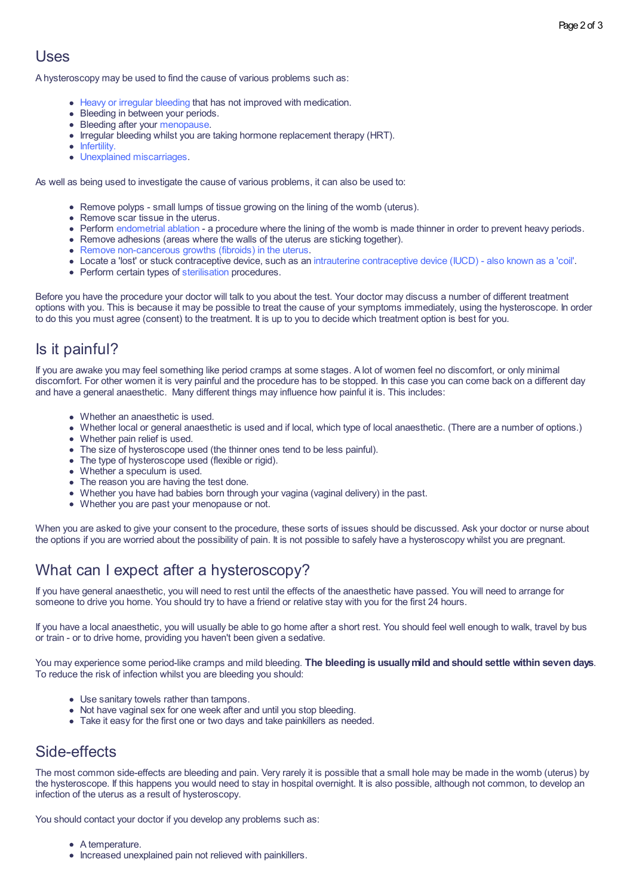#### Uses

A hysteroscopy may be used to find the cause of various problems such as:

- Heavy or irregular [bleeding](https://patient.info/womens-health/periods-and-period-problems/heavy-periods-menorrhagia) that has not improved with medication.
- Bleeding in between your periods.
- Bleeding after your [menopause](https://patient.info/womens-health/menopause).
- Irregular bleeding whilst you are taking hormone replacement therapy (HRT).
- [Infertility.](https://patient.info/womens-health/infertility-leaflet)
- Unexplained [miscarriages](https://patient.info/pregnancy/miscarriage-and-bleeding-in-early-pregnancy).

As well as being used to investigate the cause of various problems, it can also be used to:

- Remove polyps small lumps of tissue growing on the lining of the womb (uterus).
- Remove scar tissue in the uterus.
- Perform [endometrial](https://patient.info/womens-health/periods-and-period-problems/menorrhagia-surgery) ablation a procedure where the lining of the womb is made thinner in order to prevent heavy periods.
- Remove adhesions (areas where the walls of the uterus are sticking together).
- Remove [non-cancerous](https://patient.info/womens-health/periods-and-period-problems/fibroids) growths (fibroids) in the uterus.
- Locate a 'lost' or stuck contraceptive device, such as an intrauterine [contraceptive](https://patient.info/sexual-health/long-acting-reversible-contraceptives-larc/intrauterine-contraceptive-device) device (IUCD) also known as a 'coil'.
- Perform certain types of [sterilisation](https://patient.info/sexual-health/sterilisation/female-sterilisation) procedures.

Before you have the procedure your doctor will talk to you about the test. Your doctor may discuss a number of different treatment options with you. This is because it may be possible to treat the cause of your symptoms immediately, using the hysteroscope. In order to do this you must agree (consent) to the treatment. It is up to you to decide which treatment option is best for you.

#### Is it painful?

If you are awake you may feel something like period cramps at some stages. A lot of women feel no discomfort, or only minimal discomfort. For other women it is very painful and the procedure has to be stopped. In this case you can come back on a different day and have a general anaesthetic. Many different things may influence how painful it is. This includes:

- Whether an anaesthetic is used.
- Whether local or general anaesthetic is used and if local, which type of local anaesthetic. (There are a number of options.)
- Whether pain relief is used.
- The size of hysteroscope used (the thinner ones tend to be less painful).
- The type of hysteroscope used (flexible or rigid).
- Whether a speculum is used.
- 
- The reason you are having the test done.<br>• Whether you have had babies born through your vagina (vaginal delivery) in the past.
- Whether you are past your menopause or not.

When you are asked to give your consent to the procedure, these sorts of issues should be discussed. Ask your doctor or nurse about the options if you are worried about the possibility of pain. It is not possible to safely have a hysteroscopy whilst you are pregnant.

### What can I expect after a hysteroscopy?

If you have general anaesthetic, you will need to rest until the effects of the anaesthetic have passed. You will need to arrange for someone to drive you home. You should try to have a friend or relative stay with you for the first 24 hours.

If you have a local anaesthetic, you will usually be able to go home after a short rest. You should feel well enough to walk, travel by bus or train - or to drive home, providing you haven't been given a sedative.

You may experience some period-like cramps and mild bleeding. **The bleeding is usuallymild and should settle within seven days**. To reduce the risk of infection whilst you are bleeding you should:

- Use sanitary towels rather than tampons.
- Not have vaginal sex for one week after and until you stop bleeding.
- Take it easy for the first one or two days and take painkillers as needed.

#### Side-effects

The most common side-effects are bleeding and pain. Very rarely it is possible that a small hole may be made in the womb (uterus) by the hysteroscope. If this happens you would need to stay in hospital overnight. It is also possible, although not common, to develop an infection of the uterus as a result of hysteroscopy.

You should contact your doctor if you develop any problems such as:

- A temperature.
- Increased unexplained pain not relieved with painkillers.